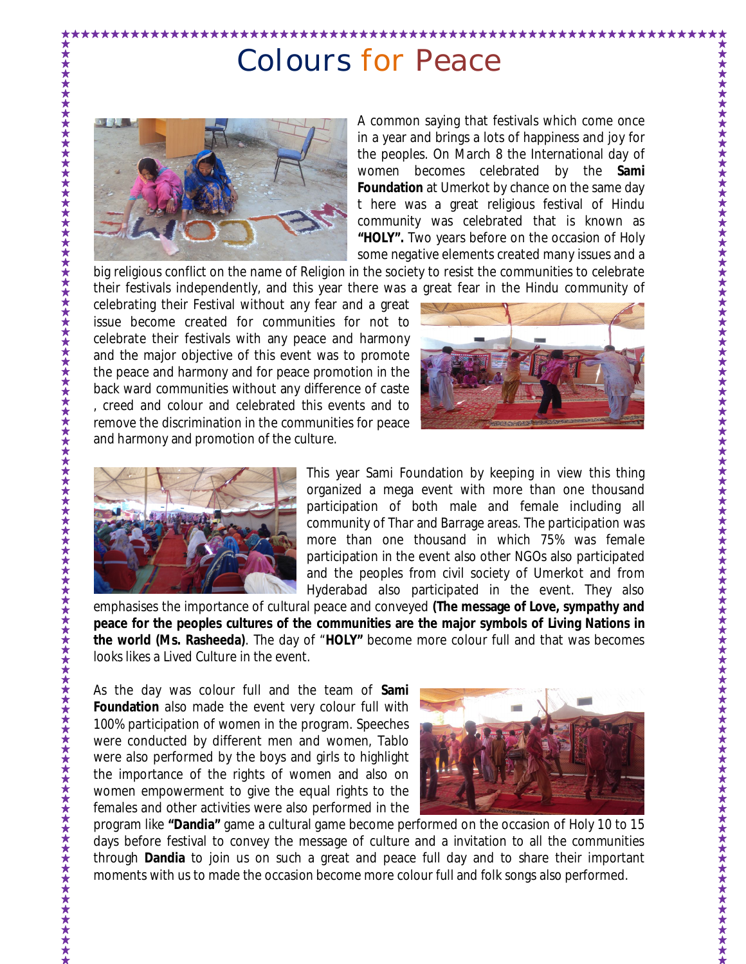## Colours for Peace



\*\*\*\*\*\*\*\*\*\*\*\*\*\*\*\*\*\*

A common saying that festivals which come once in a year and brings a lots of happiness and joy for the peoples. On March 8 the International day of women becomes celebrated by the **Sami Foundation** at Umerkot by chance on the same day t here was a great religious festival of Hindu community was celebrated that is known as **"HOLY".** Two years before on the occasion of Holy some negative elements created many issues and a

\*\*\*\*\*\*\*\*\*\*\*\*\*\*\*\*\*\*\*\*\*

big religious conflict on the name of Religion in the society to resist the communities to celebrate their festivals independently, and this year there was a great fear in the Hindu community of

celebrating their Festival without any fear and a great issue become created for communities for not to celebrate their festivals with any peace and harmony and the major objective of this event was to promote the peace and harmony and for peace promotion in the back ward communities without any difference of caste , creed and colour and celebrated this events and to remove the discrimination in the communities for peace and harmony and promotion of the culture.





This year Sami Foundation by keeping in view this thing organized a mega event with more than one thousand participation of both male and female including all community of Thar and Barrage areas. The participation was more than one thousand in which 75% was female participation in the event also other NGOs also participated and the peoples from civil society of Umerkot and from Hyderabad also participated in the event. They also

emphasises the importance of cultural peace and conveyed **(The message of Love, sympathy and peace for the peoples cultures of the communities are the major symbols of Living Nations in the world (Ms. Rasheeda)**. The day of "**HOLY"** become more colour full and that was becomes looks likes a Lived Culture in the event.

As the day was colour full and the team of **Sami Foundation** also made the event very colour full with 100% participation of women in the program. Speeches were conducted by different men and women, Tablo were also performed by the boys and girls to highlight the importance of the rights of women and also on women empowerment to give the equal rights to the females and other activities were also performed in the



program like **"Dandia"** game a cultural game become performed on the occasion of Holy 10 to 15 days before festival to convey the message of culture and a invitation to all the communities through **Dandia** to join us on such a great and peace full day and to share their important moments with us to made the occasion become more colour full and folk songs also performed.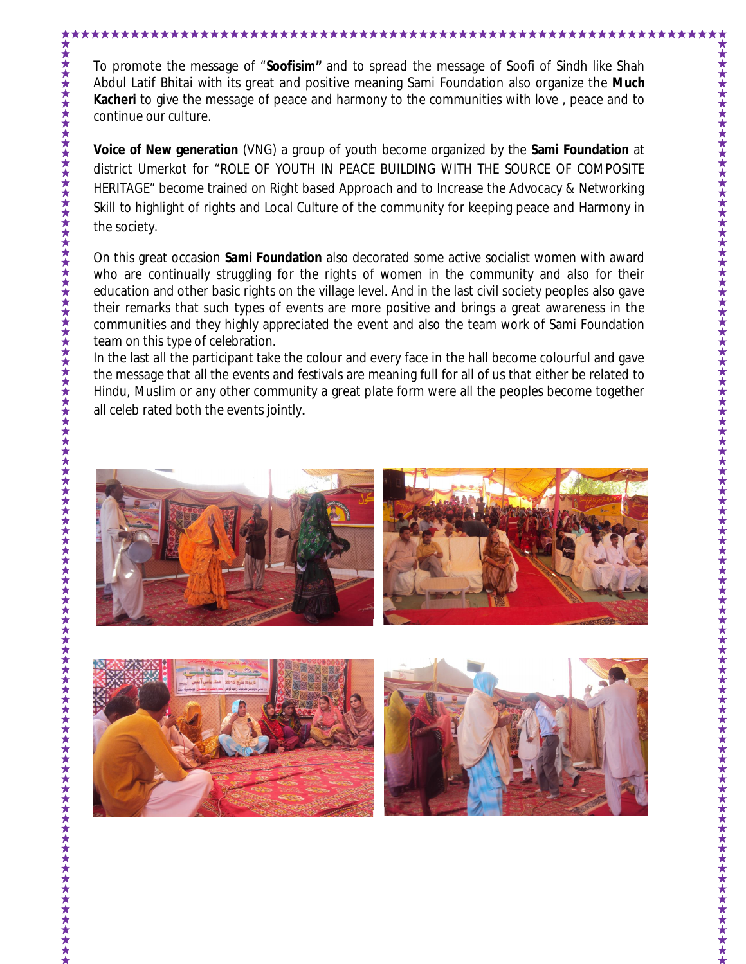To promote the message of "**Soofisim"** and to spread the message of Soofi of Sindh like Shah Abdul Latif Bhitai with its great and positive meaning Sami Foundation also organize the **Much Kacheri** to give the message of peace and harmony to the communities with love , peace and to continue our culture.

\*\*\*\*\*\*\*\*\*\*\*\*\*\*\*\*\*\*\*\*\*\*\*\*\*\*\*\*\*\*

**Voice of New generation** (VNG) a group of youth become organized by the **Sami Foundation** at district Umerkot for "ROLE OF YOUTH IN PEACE BUILDING WITH THE SOURCE OF COMPOSITE HERITAGE" become trained on Right based Approach and to Increase the Advocacy & Networking Skill to highlight of rights and Local Culture of the community for keeping peace and Harmony in the society.

On this great occasion **Sami Foundation** also decorated some active socialist women with award who are continually struggling for the rights of women in the community and also for their education and other basic rights on the village level. And in the last civil society peoples also gave their remarks that such types of events are more positive and brings a great awareness in the communities and they highly appreciated the event and also the team work of Sami Foundation team on this type of celebration.

In the last all the participant take the colour and every face in the hall become colourful and gave the message that all the events and festivals are meaning full for all of us that either be related to Hindu, Muslim or any other community a great plate form were all the peoples become together all celeb rated both the events jointly.